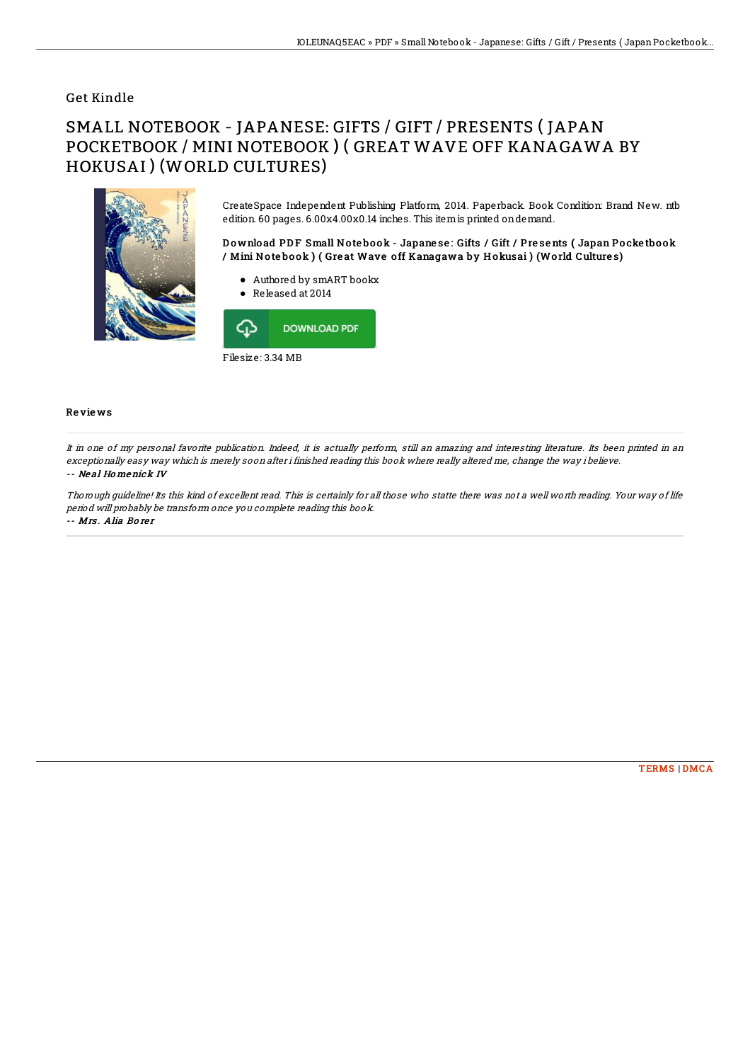## Get Kindle

## SMALL NOTEBOOK - JAPANESE: GIFTS / GIFT / PRESENTS ( JAPAN POCKETBOOK / MINI NOTEBOOK ) ( GREAT WAVE OFF KANAGAWA BY HOKUSAI ) (WORLD CULTURES)



CreateSpace Independent Publishing Platform, 2014. Paperback. Book Condition: Brand New. ntb edition. 60 pages. 6.00x4.00x0.14 inches. This itemis printed ondemand.

Download PDF Small Notebook - Japanese: Gifts / Gift / Presents (Japan Pocketbook / Mini No te bo ok ) ( Gre at Wave o ff Kanagawa by H okusai ) (Wo rld Culture s)

- Authored by smART bookx
- Released at 2014



## Re vie ws

It in one of my personal favorite publication. Indeed, it is actually perform, still an amazing and interesting literature. Its been printed in an exceptionally easy way which is merely soon after i finished reading this book where really altered me, change the way i believe. -- Ne al Ho menick IV

Thorough guideline! Its this kind of excellent read. This is certainly for all those who statte there was not <sup>a</sup> well worth reading. Your way of life period will probably be transform once you complete reading this book. -- Mrs . Alia Bo re <sup>r</sup>